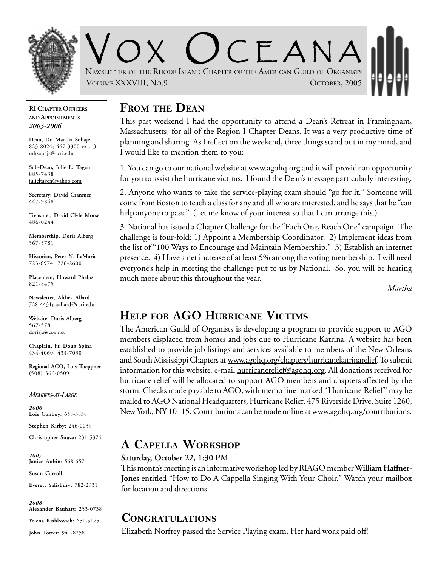

 $C<sub>F</sub> A N A$ NEWSLETTER OF THE RHODE ISLAND CHAPTER OF THE AMERICAN GUILD OF ORGANISTS VOLUME XXXVIII, NO.9 OCTOBER, 2005

**RI CHAPTER OFFICERS AND APPOINTMENTS** *2005-2006*

**Dean, Dr. Martha Sobaje** 823-8024; 467-3300 ext. 3 mhsobaje@ccri.edu

**Sub-Dean, Julie L. Tagen** 885-7438 julieltagen@yahoo.com

**Secretary, David Cranmer** 447-9848

**Treasurer, David Clyle Morse** 486-0244

**Membership, Doris Alberg** 567-5781

**Historian, Peter N. LaMoria** 723-6974; 726-2600

**Placement, Howard Phelps** 821-8475

**Newsletter, Althea Allard** 728-4431; aallard@ccri.edu

**Website**, **Doris Alberg** 567-5781 dorisja@cox.net

**Chaplain, Fr. Doug Spina** 434-4060; 434-7030

**Regional AGO, Lois Toeppner** (508) 366-0509

#### *MEMBERS-AT-LARGE*

*2006* **Lois Conboy:** 658-3838

**Stephen Kirby:** 246-0039

**Christopher Souza:** 231-5374

*2007* **Janice Aubin**: 568-6571

**Susan Carroll:**

**Everett Salisbury:** 782-2931

*2008* **Alexander Bauhart:** 253-0738 **Yelena Kishkovich:** 651-5175 **John Totter:** 941-8258

### **FROM THE DEAN**

This past weekend I had the opportunity to attend a Dean's Retreat in Framingham, Massachusetts, for all of the Region I Chapter Deans. It was a very productive time of planning and sharing. As I reflect on the weekend, three things stand out in my mind, and I would like to mention them to you:

1. You can go to our national website at www.agohq.org and it will provide an opportunity for you to assist the hurricane victims. I found the Dean's message particularly interesting.

2. Anyone who wants to take the service-playing exam should "go for it." Someone will come from Boston to teach a class for any and all who are interested, and he says that he "can help anyone to pass." (Let me know of your interest so that I can arrange this.)

3. National has issued a Chapter Challenge for the "Each One, Reach One" campaign. The challenge is four-fold: 1) Appoint a Membership Coordinator. 2) Implement ideas from the list of "100 Ways to Encourage and Maintain Membership." 3) Establish an internet presence. 4) Have a net increase of at least 5% among the voting membership. I will need everyone's help in meeting the challenge put to us by National. So, you will be hearing much more about this throughout the year.

*Martha*

# **HELP FOR AGO HURRICANE VICTIMS**

The American Guild of Organists is developing a program to provide support to AGO members displaced from homes and jobs due to Hurricane Katrina. A website has been established to provide job listings and services available to members of the New Orleans and South Mississippi Chapters at www.agohq.org/chapters/hurricanekatrinarelief. To submit information for this website, e-mail hurricanerelief@agohq.org. All donations received for hurricane relief will be allocated to support AGO members and chapters affected by the storm. Checks made payable to AGO, with memo line marked "Hurricane Relief" may be mailed to AGO National Headquarters, Hurricane Relief, 475 Riverside Drive, Suite 1260, New York, NY 10115. Contributions can be made online at www.agohq.org/contributions.

### **A CAPELLA WORKSHOP**

#### **Saturday, October 22, 1:30 PM**

This month's meeting is an informative workshop led by RIAGO member **William Haffner-Jones** entitled "How to Do A Cappella Singing With Your Choir." Watch your mailbox for location and directions.

### **CONGRATULATIONS**

Elizabeth Norfrey passed the Service Playing exam. Her hard work paid off!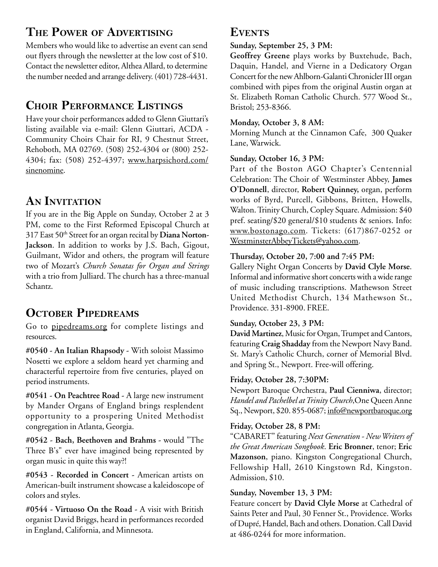# **THE POWER OF ADVERTISING**

Members who would like to advertise an event can send out flyers through the newsletter at the low cost of \$10. Contact the newsletter editor, Althea Allard, to determine the number needed and arrange delivery. (401) 728-4431.

# **CHOIR PERFORMANCE LISTINGS**

Have your choir performances added to Glenn Giuttari's listing available via e-mail: Glenn Giuttari, ACDA - Community Choirs Chair for RI, 9 Chestnut Street, Rehoboth, MA 02769. (508) 252-4304 or (800) 252- 4304; fax: (508) 252-4397; www.harpsichord.com/ sinenomine.

# **AN INVITATION**

If you are in the Big Apple on Sunday, October 2 at 3 PM, come to the First Reformed Episcopal Church at 317 East 50<sup>th</sup> Street for an organ recital by Diana Norton-**Jackson**. In addition to works by J.S. Bach, Gigout, Guilmant, Widor and others, the program will feature two of Mozart's *Church Sonatas for Organ and Strings* with a trio from Julliard. The church has a three-manual Schantz.

# **OCTOBER PIPEDREAMS**

Go to pipedreams.org for complete listings and resources.

**#0540 - An Italian Rhapsody -** With soloist Massimo Nosetti we explore a seldom heard yet charming and characterful repertoire from five centuries, played on period instruments.

**#0541 - On Peachtree Road -** A large new instrument by Mander Organs of England brings resplendent opportunity to a prospering United Methodist congregation in Atlanta, Georgia.

**#0542 - Bach, Beethoven and Brahms -** would "The Three B's" ever have imagined being represented by organ music in quite this way?!

**#0543 - Recorded in Concert -** American artists on American-built instrument showcase a kaleidoscope of colors and styles.

**#0544 - Virtuoso On the Road -** A visit with British organist David Briggs, heard in performances recorded in England, California, and Minnesota.

### **EVENTS**

#### **Sunday, September 25, 3 PM:**

**Geoffrey Greene** plays works by Buxtehude, Bach, Daquin, Handel, and Vierne in a Dedicatory Organ Concert for the new Ahlborn-Galanti Chronicler III organ combined with pipes from the original Austin organ at St. Elizabeth Roman Catholic Church. 577 Wood St., Bristol; 253-8366.

#### **Monday, October 3, 8 AM:**

Morning Munch at the Cinnamon Cafe, 300 Quaker Lane, Warwick.

#### **Sunday, October 16, 3 PM:**

Part of the Boston AGO Chapter's Centennial Celebration: The Choir of Westminster Abbey, **James O'Donnell**, director, **Robert Quinney,** organ, perform works of Byrd, Purcell, Gibbons, Britten, Howells, Walton. Trinity Church, Copley Square. Admission: \$40 pref. seating/\$20 general/\$10 students & seniors. Info: www.bostonago.com. Tickets: (617)867-0252 or WestminsterAbbeyTickets@yahoo.com.

#### **Thursday, October 20, 7:00 and 7:45 PM:**

Gallery Night Organ Concerts by **David Clyle Morse**. Informal and informative short concerts with a wide range of music including transcriptions. Mathewson Street United Methodist Church, 134 Mathewson St., Providence. 331-8900. FREE.

#### **Sunday, October 23, 3 PM:**

**David Martinez**, Music for Organ, Trumpet and Cantors, featuring **Craig Shadday** from the Newport Navy Band. St. Mary's Catholic Church, corner of Memorial Blvd. and Spring St., Newport. Free-will offering.

#### **Friday, October 28, 7:30PM:**

Newport Baroque Orchestra, **Paul Cienniwa**, director; *Handel and Pachelbel at Trinity Church*,One Queen Anne Sq., Newport, \$20. 855-0687; info@newportbaroque.org

#### **Friday, October 28, 8 PM:**

"CABARET" featuring *Next Generation - New Writers of the Great American Songbook*. **Eric Bronner**, tenor; **Eric Mazonson**, piano. Kingston Congregational Church, Fellowship Hall, 2610 Kingstown Rd, Kingston. Admission, \$10.

### **Sunday, November 13, 3 PM:**

Feature concert by **David Clyle Morse** at Cathedral of Saints Peter and Paul, 30 Fenner St., Providence. Works of Dupré, Handel, Bach and others. Donation. Call David at 486-0244 for more information.